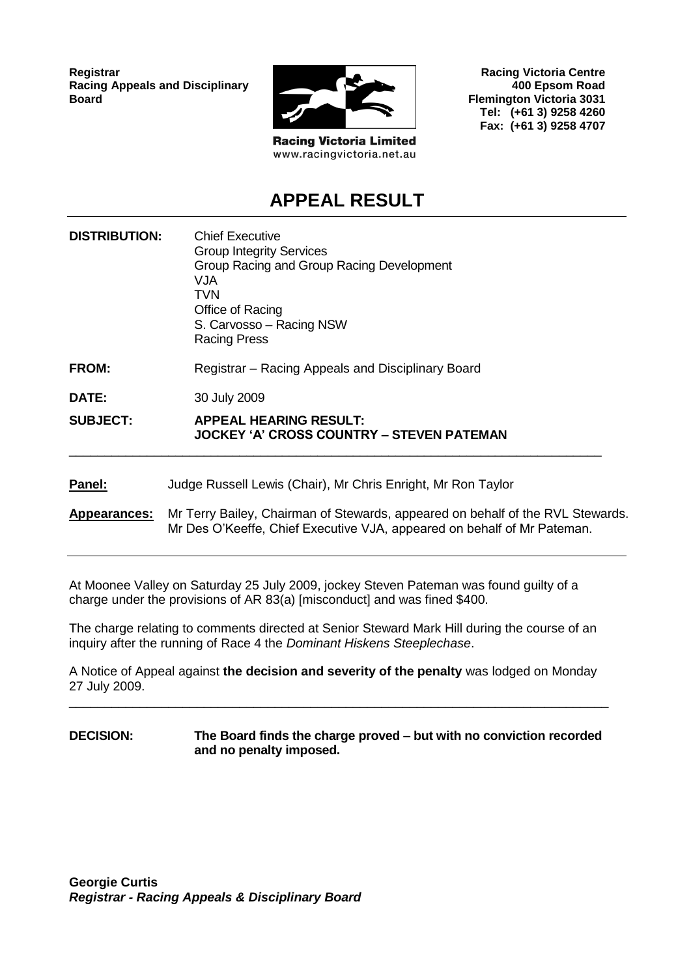**Registrar Racing Appeals and Disciplinary Board**



**Racing Victoria Limited** www.racingvictoria.net.au

**Racing Victoria Centre 400 Epsom Road Flemington Victoria 3031 Tel: (+61 3) 9258 4260 Fax: (+61 3) 9258 4707**

# **APPEAL RESULT**

| <b>DISTRIBUTION:</b> | <b>Chief Executive</b><br><b>Group Integrity Services</b><br>Group Racing and Group Racing Development<br><b>VJA</b><br>TVN<br>Office of Racing<br>S. Carvosso – Racing NSW<br><b>Racing Press</b> |
|----------------------|----------------------------------------------------------------------------------------------------------------------------------------------------------------------------------------------------|
| <b>FROM:</b>         | Registrar – Racing Appeals and Disciplinary Board                                                                                                                                                  |
| <b>DATE:</b>         | 30 July 2009                                                                                                                                                                                       |
| <b>SUBJECT:</b>      | <b>APPEAL HEARING RESULT:</b><br>JOCKEY 'A' CROSS COUNTRY – STEVEN PATEMAN                                                                                                                         |
| Panel:               | Judge Russell Lewis (Chair), Mr Chris Enright, Mr Ron Taylor                                                                                                                                       |
| Appearances:         | Mr Terry Bailey, Chairman of Stewards, appeared on behalf of the RVL Stewards.<br>Mr Des O'Keeffe, Chief Executive VJA, appeared on behalf of Mr Pateman.                                          |

At Moonee Valley on Saturday 25 July 2009, jockey Steven Pateman was found guilty of a charge under the provisions of AR 83(a) [misconduct] and was fined \$400.

The charge relating to comments directed at Senior Steward Mark Hill during the course of an inquiry after the running of Race 4 the *Dominant Hiskens Steeplechase*.

A Notice of Appeal against **the decision and severity of the penalty** was lodged on Monday 27 July 2009.

\_\_\_\_\_\_\_\_\_\_\_\_\_\_\_\_\_\_\_\_\_\_\_\_\_\_\_\_\_\_\_\_\_\_\_\_\_\_\_\_\_\_\_\_\_\_\_\_\_\_\_\_\_\_\_\_\_\_\_\_\_\_\_\_\_\_\_\_\_\_\_\_\_\_\_\_

#### **DECISION: The Board finds the charge proved – but with no conviction recorded and no penalty imposed.**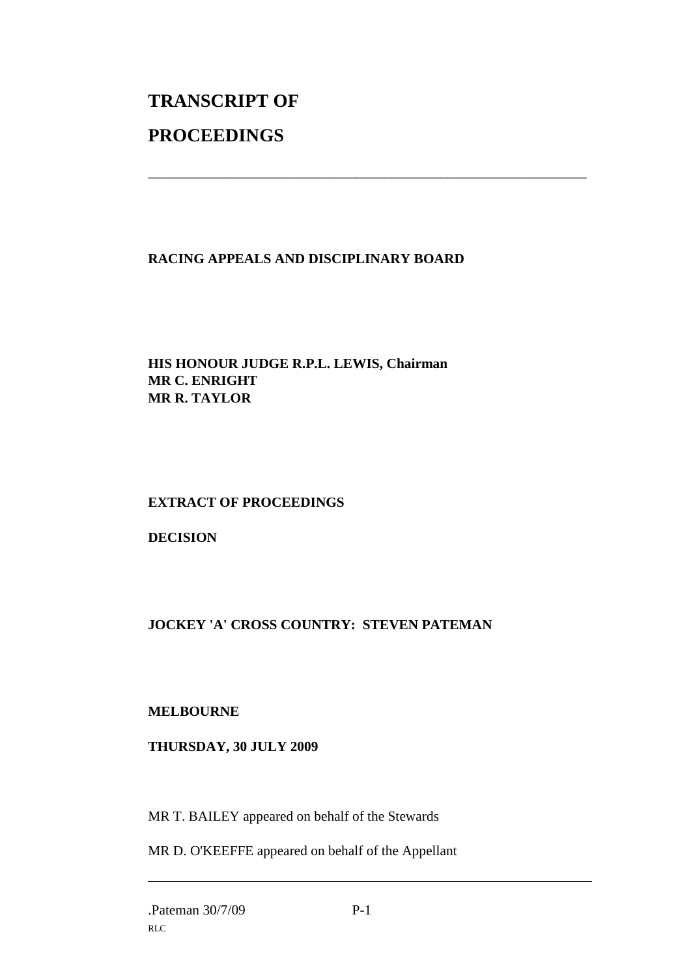# **TRANSCRIPT OF PROCEEDINGS**

#### **RACING APPEALS AND DISCIPLINARY BOARD**

\_\_\_\_\_\_\_\_\_\_\_\_\_\_\_\_\_\_\_\_\_\_\_\_\_\_\_\_\_\_\_\_\_\_\_\_\_\_\_\_\_\_\_\_\_\_\_\_\_\_\_\_\_\_\_\_\_\_\_\_\_\_\_

#### **HIS HONOUR JUDGE R.P.L. LEWIS, Chairman MR C. ENRIGHT MR R. TAYLOR**

## **EXTRACT OF PROCEEDINGS**

#### **DECISION**

## **JOCKEY 'A' CROSS COUNTRY: STEVEN PATEMAN**

#### **MELBOURNE**

#### **THURSDAY, 30 JULY 2009**

MR T. BAILEY appeared on behalf of the Stewards

MR D. O'KEEFFE appeared on behalf of the Appellant